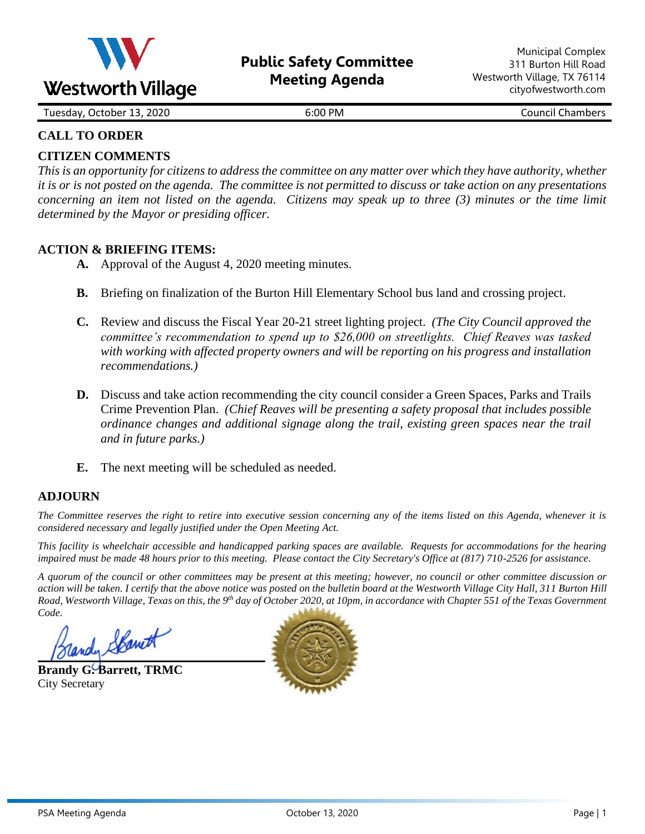

Tuesday, October 13, 2020 **6:00 PM** 6:00 PM Council Chambers

# **CALL TO ORDER**

# **CITIZEN COMMENTS**

*This is an opportunity for citizens to address the committee on any matter over which they have authority, whether it is or is not posted on the agenda. The committee is not permitted to discuss or take action on any presentations concerning an item not listed on the agenda. Citizens may speak up to three (3) minutes or the time limit determined by the Mayor or presiding officer.*

## **ACTION & BRIEFING ITEMS:**

- **A.** Approval of the August 4, 2020 meeting minutes.
- **B.** Briefing on finalization of the Burton Hill Elementary School bus land and crossing project.
- **C.** Review and discuss the Fiscal Year 20-21 street lighting project. *(The City Council approved the committee's recommendation to spend up to \$26,000 on streetlights. Chief Reaves was tasked with working with affected property owners and will be reporting on his progress and installation recommendations.)*
- **D.** Discuss and take action recommending the city council consider a Green Spaces, Parks and Trails Crime Prevention Plan. *(Chief Reaves will be presenting a safety proposal that includes possible ordinance changes and additional signage along the trail, existing green spaces near the trail and in future parks.)*
- **E.** The next meeting will be scheduled as needed.

#### **ADJOURN**

*The Committee reserves the right to retire into executive session concerning any of the items listed on this Agenda, whenever it is considered necessary and legally justified under the Open Meeting Act.*

*This facility is wheelchair accessible and handicapped parking spaces are available. Requests for accommodations for the hearing impaired must be made 48 hours prior to this meeting. Please contact the City Secretary's Office at (817) 710-2526 for assistance.*

*A quorum of the council or other committees may be present at this meeting; however, no council or other committee discussion or action will be taken. I certify that the above notice was posted on the bulletin board at the Westworth Village City Hall, 311 Burton Hill Road, Westworth Village, Texas on this, the 9 th day of October 2020, at 10pm, in accordance with Chapter 551 of the Texas Government Code.* 

andy Spanett

**Brandy G. Barrett, TRMC** City Secretary

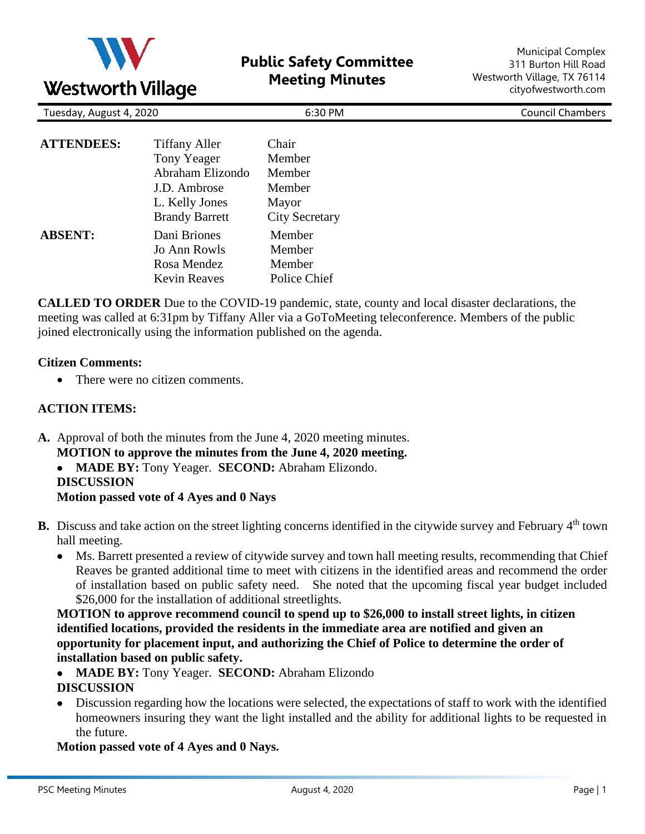

| Tuesday, August 4, 2020 |                                                                                                                    | 6:30 PM                                                               | <b>Council Chambers</b> |
|-------------------------|--------------------------------------------------------------------------------------------------------------------|-----------------------------------------------------------------------|-------------------------|
| <b>ATTENDEES:</b>       | <b>Tiffany Aller</b><br>Tony Yeager<br>Abraham Elizondo<br>J.D. Ambrose<br>L. Kelly Jones<br><b>Brandy Barrett</b> | Chair<br>Member<br>Member<br>Member<br>Mayor<br><b>City Secretary</b> |                         |
| <b>ABSENT:</b>          | Dani Briones<br>Jo Ann Rowls<br>Rosa Mendez<br><b>Kevin Reaves</b>                                                 | Member<br>Member<br>Member<br>Police Chief                            |                         |

**CALLED TO ORDER** Due to the COVID-19 pandemic, state, county and local disaster declarations, the meeting was called at 6:31pm by Tiffany Aller via a GoToMeeting teleconference. Members of the public joined electronically using the information published on the agenda.

#### **Citizen Comments:**

• There were no citizen comments.

#### **ACTION ITEMS:**

- **A.** Approval of both the minutes from the June 4, 2020 meeting minutes. **MOTION to approve the minutes from the June 4, 2020 meeting.**
	- **MADE BY:** Tony Yeager. **SECOND:** Abraham Elizondo. **DISCUSSION Motion passed vote of 4 Ayes and 0 Nays**
- **B.** Discuss and take action on the street lighting concerns identified in the citywide survey and February 4<sup>th</sup> town hall meeting.
	- Ms. Barrett presented a review of citywide survey and town hall meeting results, recommending that Chief Reaves be granted additional time to meet with citizens in the identified areas and recommend the order of installation based on public safety need. She noted that the upcoming fiscal year budget included \$26,000 for the installation of additional streetlights.

**MOTION to approve recommend council to spend up to \$26,000 to install street lights, in citizen identified locations, provided the residents in the immediate area are notified and given an opportunity for placement input, and authorizing the Chief of Police to determine the order of installation based on public safety.**

- **MADE BY:** Tony Yeager. **SECOND:** Abraham Elizondo **DISCUSSION**
- Discussion regarding how the locations were selected, the expectations of staff to work with the identified homeowners insuring they want the light installed and the ability for additional lights to be requested in the future.

**Motion passed vote of 4 Ayes and 0 Nays.**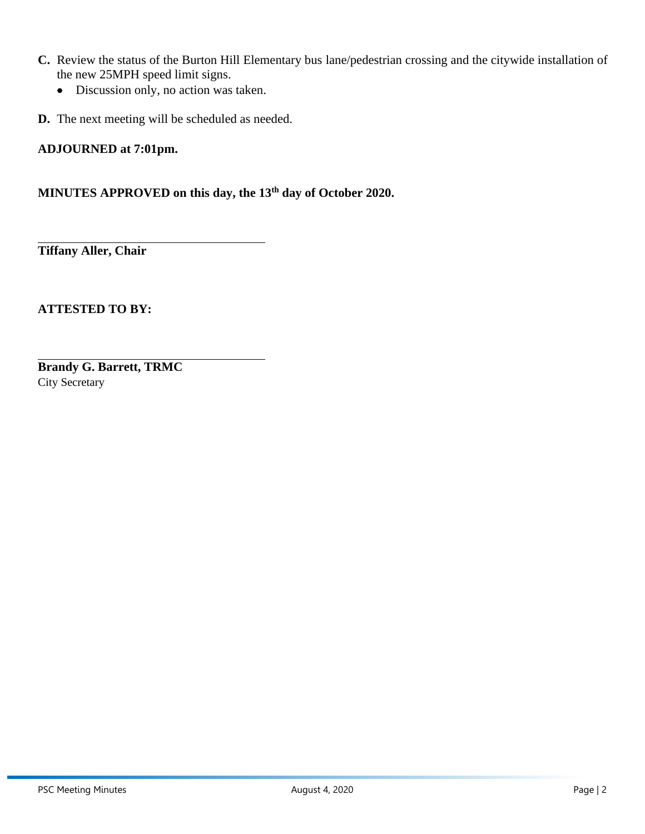- **C.** Review the status of the Burton Hill Elementary bus lane/pedestrian crossing and the citywide installation of the new 25MPH speed limit signs.
	- Discussion only, no action was taken.
- **D.** The next meeting will be scheduled as needed.

## **ADJOURNED at 7:01pm.**

# **MINUTES APPROVED on this day, the 13th day of October 2020.**

**Tiffany Aller, Chair**

**ATTESTED TO BY:**

**Brandy G. Barrett, TRMC** City Secretary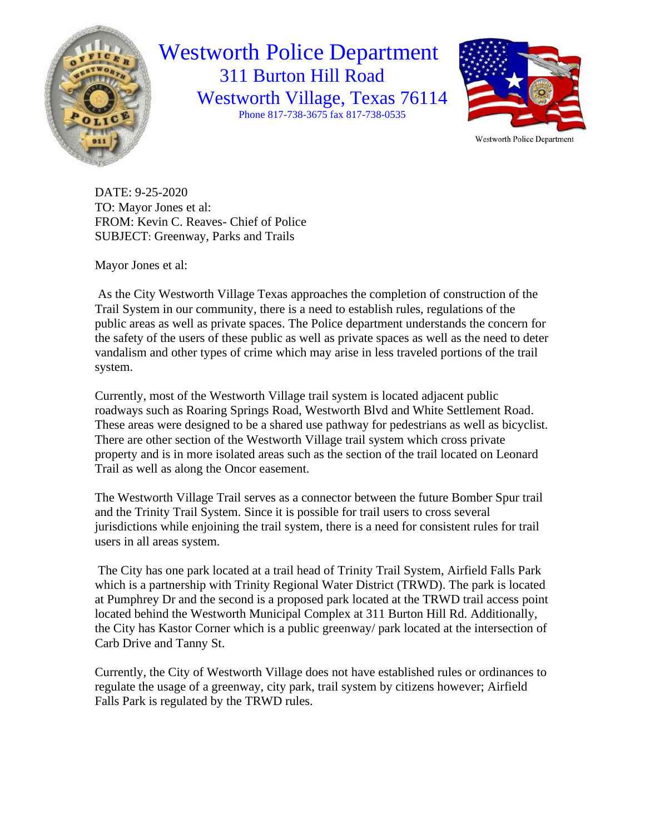

# Westworth Police Department 311 Burton Hill Road Westworth Village, Texas 76114 Phone 817-738-3675 fax 817-738-0535



DATE: 9-25-2020 TO: Mayor Jones et al: FROM: Kevin C. Reaves- Chief of Police SUBJECT: Greenway, Parks and Trails

Mayor Jones et al:

As the City Westworth Village Texas approaches the completion of construction of the Trail System in our community, there is a need to establish rules, regulations of the public areas as well as private spaces. The Police department understands the concern for the safety of the users of these public as well as private spaces as well as the need to deter vandalism and other types of crime which may arise in less traveled portions of the trail system.

Currently, most of the Westworth Village trail system is located adjacent public roadways such as Roaring Springs Road, Westworth Blvd and White Settlement Road. These areas were designed to be a shared use pathway for pedestrians as well as bicyclist. There are other section of the Westworth Village trail system which cross private property and is in more isolated areas such as the section of the trail located on Leonard Trail as well as along the Oncor easement.

The Westworth Village Trail serves as a connector between the future Bomber Spur trail and the Trinity Trail System. Since it is possible for trail users to cross several jurisdictions while enjoining the trail system, there is a need for consistent rules for trail users in all areas system.

The City has one park located at a trail head of Trinity Trail System, Airfield Falls Park which is a partnership with Trinity Regional Water District (TRWD). The park is located at Pumphrey Dr and the second is a proposed park located at the TRWD trail access point located behind the Westworth Municipal Complex at 311 Burton Hill Rd. Additionally, the City has Kastor Corner which is a public greenway/ park located at the intersection of Carb Drive and Tanny St.

Currently, the City of Westworth Village does not have established rules or ordinances to regulate the usage of a greenway, city park, trail system by citizens however; Airfield Falls Park is regulated by the TRWD rules.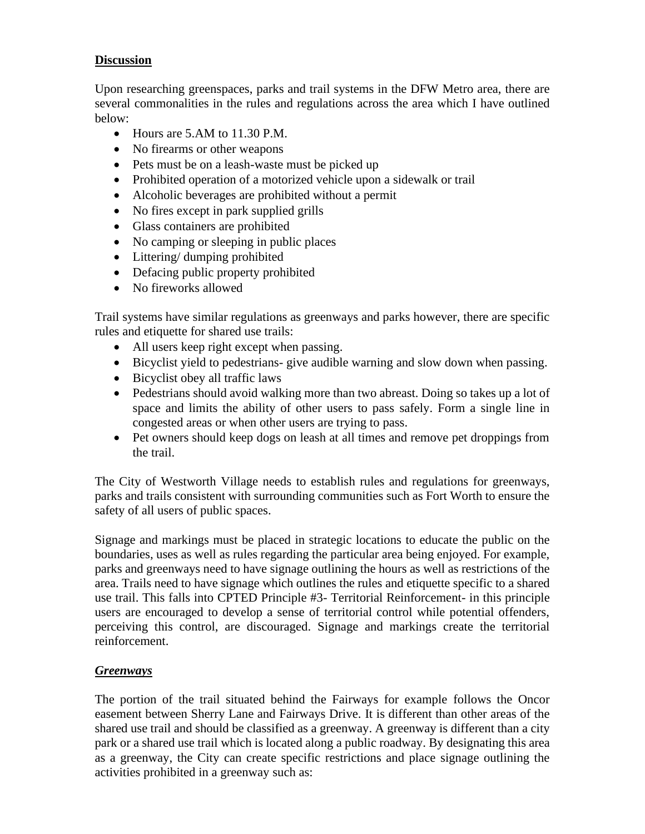## **Discussion**

Upon researching greenspaces, parks and trail systems in the DFW Metro area, there are several commonalities in the rules and regulations across the area which I have outlined below:

- Hours are 5.AM to 11.30 P.M.
- No firearms or other weapons
- Pets must be on a leash-waste must be picked up
- Prohibited operation of a motorized vehicle upon a sidewalk or trail
- Alcoholic beverages are prohibited without a permit
- No fires except in park supplied grills
- Glass containers are prohibited
- No camping or sleeping in public places
- Littering/ dumping prohibited
- Defacing public property prohibited
- No fireworks allowed

Trail systems have similar regulations as greenways and parks however, there are specific rules and etiquette for shared use trails:

- All users keep right except when passing.
- Bicyclist yield to pedestrians- give audible warning and slow down when passing.
- Bicyclist obey all traffic laws
- Pedestrians should avoid walking more than two abreast. Doing so takes up a lot of space and limits the ability of other users to pass safely. Form a single line in congested areas or when other users are trying to pass.
- Pet owners should keep dogs on leash at all times and remove pet droppings from the trail.

The City of Westworth Village needs to establish rules and regulations for greenways, parks and trails consistent with surrounding communities such as Fort Worth to ensure the safety of all users of public spaces.

Signage and markings must be placed in strategic locations to educate the public on the boundaries, uses as well as rules regarding the particular area being enjoyed. For example, parks and greenways need to have signage outlining the hours as well as restrictions of the area. Trails need to have signage which outlines the rules and etiquette specific to a shared use trail. This falls into CPTED Principle #3- Territorial Reinforcement- in this principle users are encouraged to develop a sense of territorial control while potential offenders, perceiving this control, are discouraged. Signage and markings create the territorial reinforcement.

#### *Greenways*

The portion of the trail situated behind the Fairways for example follows the Oncor easement between Sherry Lane and Fairways Drive. It is different than other areas of the shared use trail and should be classified as a greenway. A greenway is different than a city park or a shared use trail which is located along a public roadway. By designating this area as a greenway, the City can create specific restrictions and place signage outlining the activities prohibited in a greenway such as: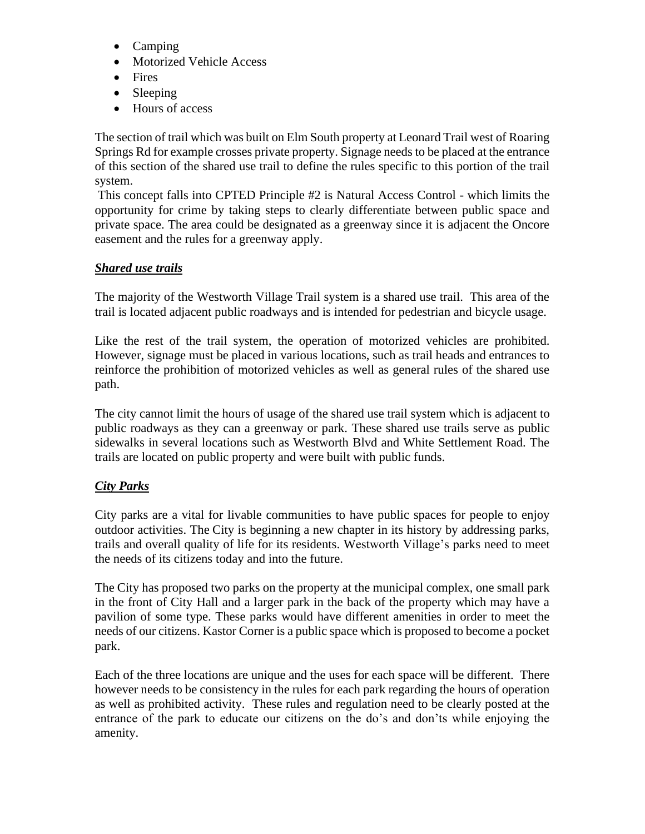- Camping
- Motorized Vehicle Access
- Fires
- Sleeping
- Hours of access

The section of trail which was built on Elm South property at Leonard Trail west of Roaring Springs Rd for example crosses private property. Signage needs to be placed at the entrance of this section of the shared use trail to define the rules specific to this portion of the trail system.

This concept falls into CPTED Principle #2 is Natural Access Control - which limits the opportunity for crime by taking steps to clearly differentiate between public space and private space. The area could be designated as a greenway since it is adjacent the Oncore easement and the rules for a greenway apply.

# *Shared use trails*

The majority of the Westworth Village Trail system is a shared use trail. This area of the trail is located adjacent public roadways and is intended for pedestrian and bicycle usage.

Like the rest of the trail system, the operation of motorized vehicles are prohibited. However, signage must be placed in various locations, such as trail heads and entrances to reinforce the prohibition of motorized vehicles as well as general rules of the shared use path.

The city cannot limit the hours of usage of the shared use trail system which is adjacent to public roadways as they can a greenway or park. These shared use trails serve as public sidewalks in several locations such as Westworth Blvd and White Settlement Road. The trails are located on public property and were built with public funds.

# *City Parks*

City parks are a vital for livable communities to have public spaces for people to enjoy outdoor activities. The City is beginning a new chapter in its history by addressing parks, trails and overall quality of life for its residents. Westworth Village's parks need to meet the needs of its citizens today and into the future.

The City has proposed two parks on the property at the municipal complex, one small park in the front of City Hall and a larger park in the back of the property which may have a pavilion of some type. These parks would have different amenities in order to meet the needs of our citizens. Kastor Corner is a public space which is proposed to become a pocket park.

Each of the three locations are unique and the uses for each space will be different. There however needs to be consistency in the rules for each park regarding the hours of operation as well as prohibited activity. These rules and regulation need to be clearly posted at the entrance of the park to educate our citizens on the do's and don'ts while enjoying the amenity.